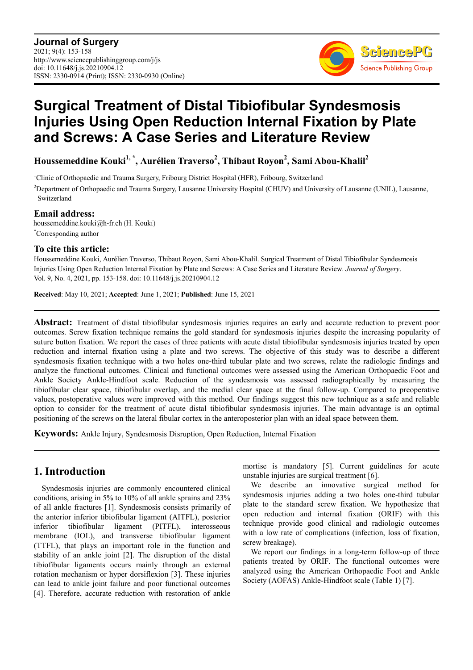

# **Surgical Treatment of Distal Tibiofibular Syndesmosis Injuries Using Open Reduction Internal Fixation by Plate and Screws: A Case Series and Literature Review**

**Houssemeddine Kouki1, \*, Aurélien Traverso<sup>2</sup> , Thibaut Royon<sup>2</sup> , Sami Abou-Khalil<sup>2</sup>**

<sup>1</sup>Clinic of Orthopaedic and Trauma Surgery, Fribourg District Hospital (HFR), Fribourg, Switzerland <sup>2</sup>Department of Orthopaedic and Trauma Surgery, Lausanne University Hospital (CHUV) and University of Lausanne (UNIL), Lausanne, Switzerland

**Email address:**<br>houssemeddine.kouki@h-fr.ch (H. Kouki) \*Corresponding author

### **To cite this article:**

Houssemeddine Kouki, Aurélien Traverso, Thibaut Royon, Sami Abou-Khalil. Surgical Treatment of Distal Tibiofibular Syndesmosis Injuries Using Open Reduction Internal Fixation by Plate and Screws: A Case Series and Literature Review. *Journal of Surgery*. Vol. 9, No. 4, 2021, pp. 153-158. doi: 10.11648/j.js.20210904.12

**Received**: May 10, 2021; **Accepted**: June 1, 2021; **Published**: June 15, 2021

**Abstract:** Treatment of distal tibiofibular syndesmosis injuries requires an early and accurate reduction to prevent poor outcomes. Screw fixation technique remains the gold standard for syndesmosis injuries despite the increasing popularity of suture button fixation. We report the cases of three patients with acute distal tibiofibular syndesmosis injuries treated by open reduction and internal fixation using a plate and two screws. The objective of this study was to describe a different syndesmosis fixation technique with a two holes one-third tubular plate and two screws, relate the radiologic findings and analyze the functional outcomes. Clinical and functional outcomes were assessed using the American Orthopaedic Foot and Ankle Society Ankle-Hindfoot scale. Reduction of the syndesmosis was assessed radiographically by measuring the tibiofibular clear space, tibiofibular overlap, and the medial clear space at the final follow-up. Compared to preoperative values, postoperative values were improved with this method. Our findings suggest this new technique as a safe and reliable option to consider for the treatment of acute distal tibiofibular syndesmosis injuries. The main advantage is an optimal positioning of the screws on the lateral fibular cortex in the anteroposterior plan with an ideal space between them.

**Keywords:** Ankle Injury, Syndesmosis Disruption, Open Reduction, Internal Fixation

## **1. Introduction**

Syndesmosis injuries are commonly encountered clinical conditions, arising in 5% to 10% of all ankle sprains and 23% of all ankle fractures [1]. Syndesmosis consists primarily of the anterior inferior tibiofibular ligament (AITFL), posterior inferior tibiofibular ligament (PITFL), interosseous membrane (IOL), and transverse tibiofibular ligament (TTFL), that plays an important role in the function and stability of an ankle joint [2]. The disruption of the distal tibiofibular ligaments occurs mainly through an external rotation mechanism or hyper dorsiflexion [3]. These injuries can lead to ankle joint failure and poor functional outcomes [4]. Therefore, accurate reduction with restoration of ankle mortise is mandatory [5]. Current guidelines for acute unstable injuries are surgical treatment [6].

We describe an innovative surgical method for syndesmosis injuries adding a two holes one-third tubular plate to the standard screw fixation. We hypothesize that open reduction and internal fixation (ORIF) with this technique provide good clinical and radiologic outcomes with a low rate of complications (infection, loss of fixation, screw breakage).

We report our findings in a long-term follow-up of three patients treated by ORIF. The functional outcomes were analyzed using the American Orthopaedic Foot and Ankle Society (AOFAS) Ankle-Hindfoot scale (Table 1) [7].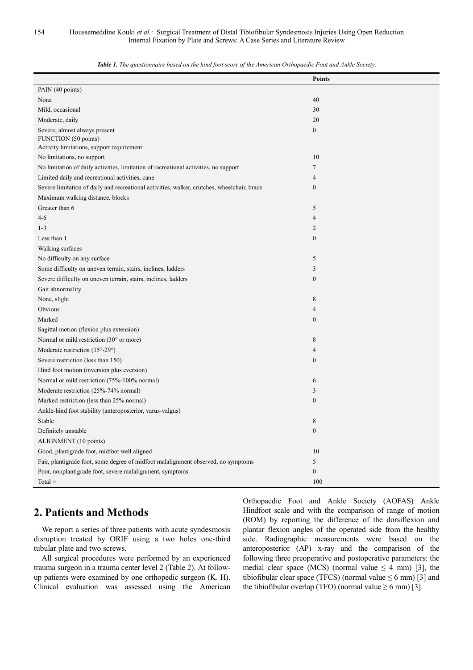|                                                                                             | <b>Points</b>    |
|---------------------------------------------------------------------------------------------|------------------|
| PAIN (40 points)                                                                            |                  |
| None                                                                                        | 40               |
| Mild, occasional                                                                            | 30               |
| Moderate, daily                                                                             | 20               |
| Severe, almost always present                                                               | $\boldsymbol{0}$ |
| FUNCTION (50 points)                                                                        |                  |
| Activity limitations, support requirement                                                   |                  |
| No limitations, no support                                                                  | 10               |
| No limitation of daily activities, limitation of recreational activities, no support        | 7                |
| Limited daily and recreational activities, cane                                             | $\overline{4}$   |
| Severe limitation of daily and recreational activities, walker, crutches, wheelchair, brace | $\mathbf{0}$     |
| Maximum walking distance, blocks                                                            |                  |
| Greater than 6                                                                              | 5                |
| $4 - 6$                                                                                     | $\overline{4}$   |
| $1 - 3$                                                                                     | $\overline{c}$   |
| Less than 1                                                                                 | $\mathbf{0}$     |
| Walking surfaces                                                                            |                  |
| No difficulty on any surface                                                                | 5                |
| Some difficulty on uneven terrain, stairs, inclines, ladders                                | 3                |
| Severe difficulty on uneven terrain, stairs, inclines, ladders                              | $\boldsymbol{0}$ |
| Gait abnormality                                                                            |                  |
| None, slight                                                                                | 8                |
| Obvious                                                                                     | $\overline{4}$   |
| Marked                                                                                      | $\boldsymbol{0}$ |
| Sagittal motion (flexion plus extension)                                                    |                  |
| Normal or mild restriction (30° or more)                                                    | 8                |
| Moderate restriction $(15^{\circ} - 29^{\circ})$                                            | 4                |
| Severe restriction (less than 150)                                                          | $\mathbf{0}$     |
| Hind foot motion (inversion plus eversion)                                                  |                  |
| Normal or mild restriction (75%-100% normal)                                                | 6                |
| Moderate restriction (25%-74% normal)                                                       | 3                |
| Marked restriction (less than 25% normal)                                                   | $\mathbf{0}$     |
| Ankle-hind foot stability (anteroposterior, varus-valgus)                                   |                  |
| Stable                                                                                      | 8                |
| Definitely unstable                                                                         | $\boldsymbol{0}$ |
| ALIGNMENT (10 points)                                                                       |                  |
| Good, plantigrade foot, midfoot well aligned                                                | 10               |
| Fair, plantigrade foot, some degree of midfoot malalignment observed, no symptoms           | 5                |
| Poor, nonplantigrade foot, severe malalignment, symptoms                                    | $\boldsymbol{0}$ |
| $Total =$                                                                                   | 100              |

*Table 1. The questionnaire based on the hind foot score of the American Orthopaedic Foot and Ankle Society.* 

### **2. Patients and Methods**

We report a series of three patients with acute syndesmosis disruption treated by ORIF using a two holes one-third tubular plate and two screws.

All surgical procedures were performed by an experienced trauma surgeon in a trauma center level 2 (Table 2). At followup patients were examined by one orthopedic surgeon (K. H). Clinical evaluation was assessed using the American Orthopaedic Foot and Ankle Society (AOFAS) Ankle Hindfoot scale and with the comparison of range of motion (ROM) by reporting the difference of the dorsiflexion and plantar flexion angles of the operated side from the healthy side. Radiographic measurements were based on the anteroposterior (AP) x-ray and the comparison of the following three preoperative and postoperative parameters: the medial clear space (MCS) (normal value  $\leq$  4 mm) [3], the tibiofibular clear space (TFCS) (normal value  $\leq 6$  mm) [3] and the tibiofibular overlap (TFO) (normal value  $\geq 6$  mm) [3].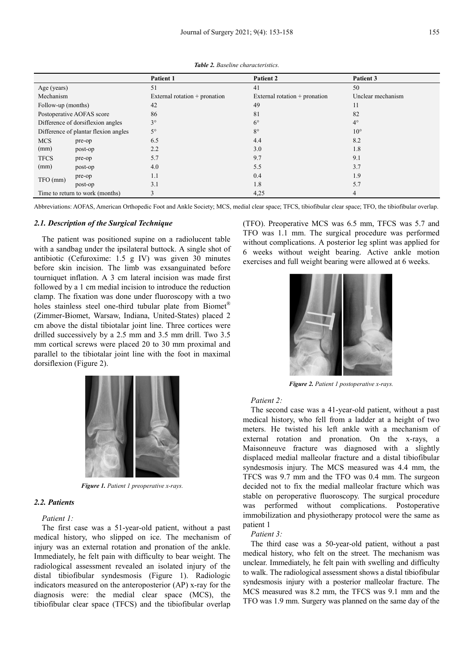|                                      |         | Patient 1                     | Patient 2                     | Patient 3         |
|--------------------------------------|---------|-------------------------------|-------------------------------|-------------------|
| Age (years)                          |         | 51                            | 41                            | 50                |
| Mechanism                            |         | External rotation + pronation | External rotation + pronation | Unclear mechanism |
| Follow-up (months)                   |         | 42                            | 49                            | 11                |
| Postoperative AOFAS score            |         | 86                            | 81                            | 82                |
| Difference of dorsiflexion angles    |         | $3^\circ$                     | $6^{\circ}$                   | $4^\circ$         |
| Difference of plantar flexion angles |         | $5^\circ$                     | $8^{\circ}$                   | $10^{\circ}$      |
| <b>MCS</b>                           | pre-op  | 6.5                           | 4.4                           | 8.2               |
| (mm)                                 | post-op | 2.2                           | 3.0                           | 1.8               |
| <b>TFCS</b>                          | pre-op  | 5.7                           | 9.7                           | 9.1               |
| (mm)                                 | post-op | 4.0                           | 5.5                           | 3.7               |
| TFO (mm)                             | pre-op  | 1.1                           | 0.4                           | 1.9               |
|                                      | post-op | 3.1                           | 1.8                           | 5.7               |
| Time to return to work (months)      |         | 3                             | 4,25                          | 4                 |

*Table 2. Baseline characteristics.*

Abbreviations: AOFAS, American Orthopedic Foot and Ankle Society; MCS, medial clear space; TFCS, tibiofibular clear space; TFO, the tibiofibular overlap.

#### *2.1. Description of the Surgical Technique*

The patient was positioned supine on a radiolucent table with a sandbag under the ipsilateral buttock. A single shot of antibiotic (Cefuroxime: 1.5 g IV) was given 30 minutes before skin incision. The limb was exsanguinated before tourniquet inflation. A 3 cm lateral incision was made first followed by a 1 cm medial incision to introduce the reduction clamp. The fixation was done under fluoroscopy with a two holes stainless steel one-third tubular plate from Biomet<sup>®</sup> (Zimmer-Biomet, Warsaw, Indiana, United-States) placed 2 cm above the distal tibiotalar joint line. Three cortices were drilled successively by a 2.5 mm and 3.5 mm drill. Two 3.5 mm cortical screws were placed 20 to 30 mm proximal and parallel to the tibiotalar joint line with the foot in maximal dorsiflexion (Figure 2).



*Figure 1. Patient 1 preoperative x-rays.* 

#### *2.2. Patients*

#### *Patient 1:*

The first case was a 51-year-old patient, without a past medical history, who slipped on ice. The mechanism of injury was an external rotation and pronation of the ankle. Immediately, he felt pain with difficulty to bear weight. The radiological assessment revealed an isolated injury of the distal tibiofibular syndesmosis (Figure 1). Radiologic indicators measured on the anteroposterior (AP) x-ray for the diagnosis were: the medial clear space (MCS), the tibiofibular clear space (TFCS) and the tibiofibular overlap

(TFO). Preoperative MCS was 6.5 mm, TFCS was 5.7 and TFO was 1.1 mm. The surgical procedure was performed without complications. A posterior leg splint was applied for 6 weeks without weight bearing. Active ankle motion exercises and full weight bearing were allowed at 6 weeks.



*Figure 2. Patient 1 postoperative x-rays.*

#### *Patient 2:*

The second case was a 41-year-old patient, without a past medical history, who fell from a ladder at a height of two meters. He twisted his left ankle with a mechanism of external rotation and pronation. On the x-rays, a Maisonneuve fracture was diagnosed with a slightly displaced medial malleolar fracture and a distal tibiofibular syndesmosis injury. The MCS measured was 4.4 mm, the TFCS was 9.7 mm and the TFO was 0.4 mm. The surgeon decided not to fix the medial malleolar fracture which was stable on peroperative fluoroscopy. The surgical procedure was performed without complications. Postoperative immobilization and physiotherapy protocol were the same as patient 1

#### *Patient 3:*

The third case was a 50-year-old patient, without a past medical history, who felt on the street. The mechanism was unclear. Immediately, he felt pain with swelling and difficulty to walk. The radiological assessment shows a distal tibiofibular syndesmosis injury with a posterior malleolar fracture. The MCS measured was 8.2 mm, the TFCS was 9.1 mm and the TFO was 1.9 mm. Surgery was planned on the same day of the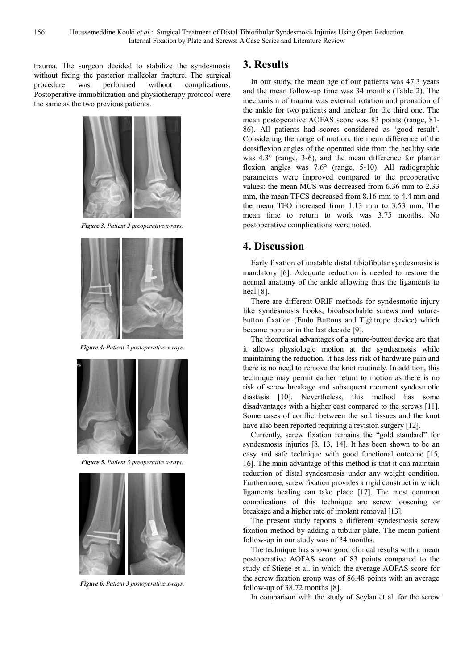trauma. The surgeon decided to stabilize the syndesmosis without fixing the posterior malleolar fracture. The surgical procedure was performed without complications. Postoperative immobilization and physiotherapy protocol were the same as the two previous patients.



*Figure 3. Patient 2 preoperative x-rays.*



*Figure 4. Patient 2 postoperative x-rays.* 



*Figure 5. Patient 3 preoperative x-rays.* 



*Figure 6. Patient 3 postoperative x-rays.*

### **3. Results**

In our study, the mean age of our patients was 47.3 years and the mean follow-up time was 34 months (Table 2). The mechanism of trauma was external rotation and pronation of the ankle for two patients and unclear for the third one. The mean postoperative AOFAS score was 83 points (range, 81- 86). All patients had scores considered as 'good result'. Considering the range of motion, the mean difference of the dorsiflexion angles of the operated side from the healthy side was 4.3° (range, 3-6), and the mean difference for plantar flexion angles was 7.6° (range, 5-10). All radiographic parameters were improved compared to the preoperative values: the mean MCS was decreased from 6.36 mm to 2.33 mm, the mean TFCS decreased from 8.16 mm to 4.4 mm and the mean TFO increased from 1.13 mm to 3.53 mm. The mean time to return to work was 3.75 months. No postoperative complications were noted.

### **4. Discussion**

Early fixation of unstable distal tibiofibular syndesmosis is mandatory [6]. Adequate reduction is needed to restore the normal anatomy of the ankle allowing thus the ligaments to heal [8].

There are different ORIF methods for syndesmotic injury like syndesmosis hooks, bioabsorbable screws and suturebutton fixation (Endo Buttons and Tightrope device) which became popular in the last decade [9].

The theoretical advantages of a suture-button device are that it allows physiologic motion at the syndesmosis while maintaining the reduction. It has less risk of hardware pain and there is no need to remove the knot routinely. In addition, this technique may permit earlier return to motion as there is no risk of screw breakage and subsequent recurrent syndesmotic diastasis [10]. Nevertheless, this method has some disadvantages with a higher cost compared to the screws [11]. Some cases of conflict between the soft tissues and the knot have also been reported requiring a revision surgery [12].

Currently, screw fixation remains the "gold standard" for syndesmosis injuries [8, 13, 14]. It has been shown to be an easy and safe technique with good functional outcome [15, 16]. The main advantage of this method is that it can maintain reduction of distal syndesmosis under any weight condition. Furthermore, screw fixation provides a rigid construct in which ligaments healing can take place [17]. The most common complications of this technique are screw loosening or breakage and a higher rate of implant removal [13].

The present study reports a different syndesmosis screw fixation method by adding a tubular plate. The mean patient follow-up in our study was of 34 months.

The technique has shown good clinical results with a mean postoperative AOFAS score of 83 points compared to the study of Stiene et al. in which the average AOFAS score for the screw fixation group was of 86.48 points with an average follow**-**up of 38.72 months [8].

In comparison with the study of Seylan et al. for the screw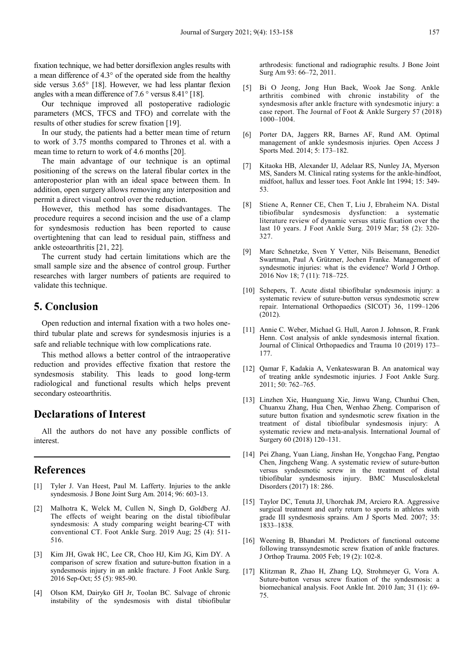fixation technique, we had better dorsiflexion angles results with a mean difference of 4.3° of the operated side from the healthy side versus 3.65° [18]. However, we had less plantar flexion angles with a mean difference of 7.6 ° versus 8.41° [18].

Our technique improved all postoperative radiologic parameters (MCS, TFCS and TFO) and correlate with the results of other studies for screw fixation [19].

In our study, the patients had a better mean time of return to work of 3.75 months compared to Thrones et al. with a mean time to return to work of 4.6 months [20].

The main advantage of our technique is an optimal positioning of the screws on the lateral fibular cortex in the anteroposterior plan with an ideal space between them. In addition, open surgery allows removing any interposition and permit a direct visual control over the reduction.

However, this method has some disadvantages. The procedure requires a second incision and the use of a clamp for syndesmosis reduction has been reported to cause overtightening that can lead to residual pain, stiffness and ankle osteoarthritis [21, 22].

The current study had certain limitations which are the small sample size and the absence of control group. Further researches with larger numbers of patients are required to validate this technique.

### **5. Conclusion**

Open reduction and internal fixation with a two holes onethird tubular plate and screws for syndesmosis injuries is a safe and reliable technique with low complications rate.

This method allows a better control of the intraoperative reduction and provides effective fixation that restore the syndesmosis stability. This leads to good long-term radiological and functional results which helps prevent secondary osteoarthritis.

### **Declarations of Interest**

All the authors do not have any possible conflicts of interest.

### **References**

- [1] Tyler J. Van Heest, Paul M. Lafferty. Injuries to the ankle syndesmosis. J Bone Joint Surg Am. 2014; 96: 603-13.
- [2] Malhotra K, Welck M, Cullen N, Singh D, Goldberg AJ. The effects of weight bearing on the distal tibiofibular syndesmosis: A study comparing weight bearing-CT with conventional CT. Foot Ankle Surg. 2019 Aug; 25 (4): 511- 516.
- [3] Kim JH, Gwak HC, Lee CR, Choo HJ, Kim JG, Kim DY. A comparison of screw fixation and suture-button fixation in a syndesmosis injury in an ankle fracture. J Foot Ankle Surg. 2016 Sep-Oct; 55 (5): 985-90.
- [4] Olson KM, Dairyko GH Jr, Toolan BC. Salvage of chronic instability of the syndesmosis with distal tibiofibular

arthrodesis: functional and radiographic results. J Bone Joint Surg Am 93: 66–72, 2011.

- [5] Bi O Jeong, Jong Hun Baek, Wook Jae Song. Ankle arthritis combined with chronic instability of the syndesmosis after ankle fracture with syndesmotic injury: a case report. The Journal of Foot & Ankle Surgery 57 (2018) 1000–1004.
- [6] Porter DA, Jaggers RR, Barnes AF, Rund AM. Optimal management of ankle syndesmosis injuries. Open Access J Sports Med. 2014; 5: 173–182.
- [7] Kitaoka HB, Alexander IJ, Adelaar RS, Nunley JA, Myerson MS, Sanders M. Clinical rating systems for the ankle-hindfoot, midfoot, hallux and lesser toes. Foot Ankle Int 1994; 15: 349- 53.
- [8] Stiene A, Renner CE, Chen T, Liu J, Ebraheim NA. Distal tibiofibular syndesmosis dysfunction: a systematic literature review of dynamic versus static fixation over the last 10 years. J Foot Ankle Surg. 2019 Mar; 58 (2): 320- 327.
- [9] Marc Schnetzke, Sven Y Vetter, Nils Beisemann, Benedict Swartman, Paul A Grützner, Jochen Franke. Management of syndesmotic injuries: what is the evidence? World J Orthop. 2016 Nov 18; 7 (11): 718–725.
- [10] Schepers, T. Acute distal tibiofibular syndesmosis injury: a systematic review of suture-button versus syndesmotic screw repair. International Orthopaedics (SICOT) 36, 1199–1206 (2012).
- [11] Annie C. Weber, Michael G. Hull, Aaron J. Johnson, R. Frank Henn. Cost analysis of ankle syndesmosis internal fixation. Journal of Clinical Orthopaedics and Trauma 10 (2019) 173– 177.
- [12] Qamar F, Kadakia A, Venkateswaran B. An anatomical way of treating ankle syndesmotic injuries. J Foot Ankle Surg. 2011; 50: 762–765.
- [13] Linzhen Xie, Huanguang Xie, Jinwu Wang, Chunhui Chen, Chuanxu Zhang, Hua Chen, Wenhao Zheng. Comparison of suture button fixation and syndesmotic screw fixation in the treatment of distal tibiofibular syndesmosis injury: A systematic review and meta-analysis. International Journal of Surgery 60 (2018) 120–131.
- [14] Pei Zhang, Yuan Liang, Jinshan He, Yongchao Fang, Pengtao Chen, Jingcheng Wang. A systematic review of suture-button versus syndesmotic screw in the treatment of distal tibiofibular syndesmosis injury. BMC Musculoskeletal Disorders (2017) 18: 286.
- [15] Taylor DC, Tenuta JJ, Uhorchak JM, Arciero RA. Aggressive surgical treatment and early return to sports in athletes with grade III syndesmosis sprains. Am J Sports Med. 2007; 35: 1833–1838.
- [16] Weening B, Bhandari M. Predictors of functional outcome following transsyndesmotic screw fixation of ankle fractures. J Orthop Trauma. 2005 Feb; 19 (2): 102-8.
- [17] Klitzman R, Zhao H, Zhang LQ, Strohmeyer G, Vora A. Suture-button versus screw fixation of the syndesmosis: a biomechanical analysis. Foot Ankle Int. 2010 Jan; 31 (1): 69- 75.